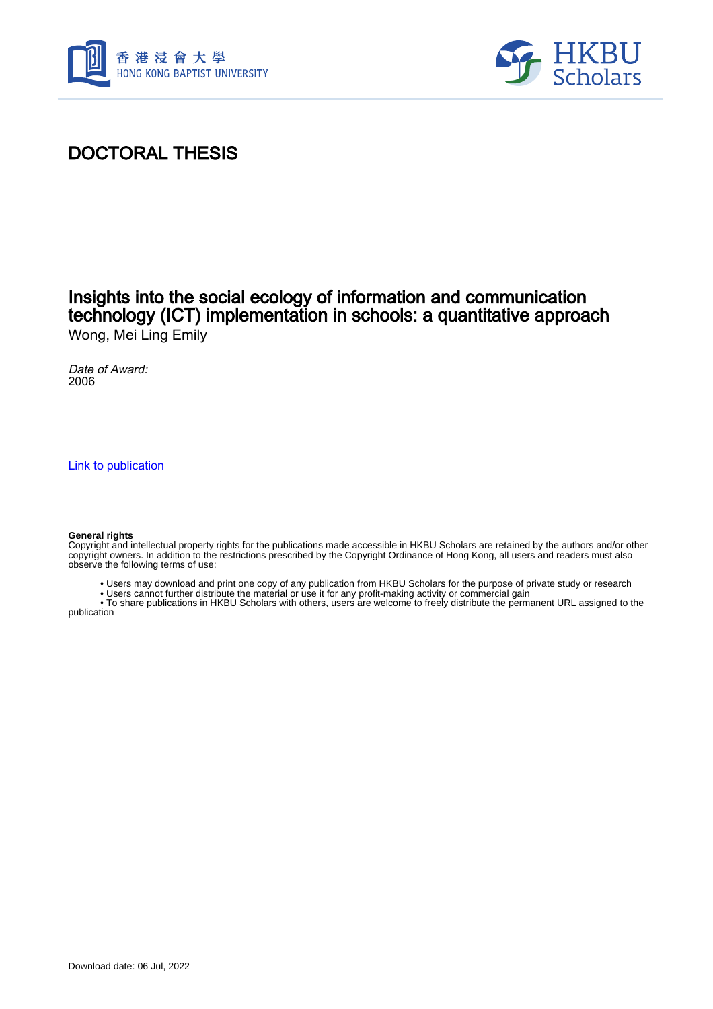



# DOCTORAL THESIS

### Insights into the social ecology of information and communication technology (ICT) implementation in schools: a quantitative approach Wong, Mei Ling Emily

Date of Award: 2006

[Link to publication](https://scholars.hkbu.edu.hk/en/studentTheses/c9a2cfd4-97e5-45b9-aecd-ff6ce03db141)

#### **General rights**

Copyright and intellectual property rights for the publications made accessible in HKBU Scholars are retained by the authors and/or other copyright owners. In addition to the restrictions prescribed by the Copyright Ordinance of Hong Kong, all users and readers must also observe the following terms of use:

- Users may download and print one copy of any publication from HKBU Scholars for the purpose of private study or research
- Users cannot further distribute the material or use it for any profit-making activity or commercial gain

 • To share publications in HKBU Scholars with others, users are welcome to freely distribute the permanent URL assigned to the publication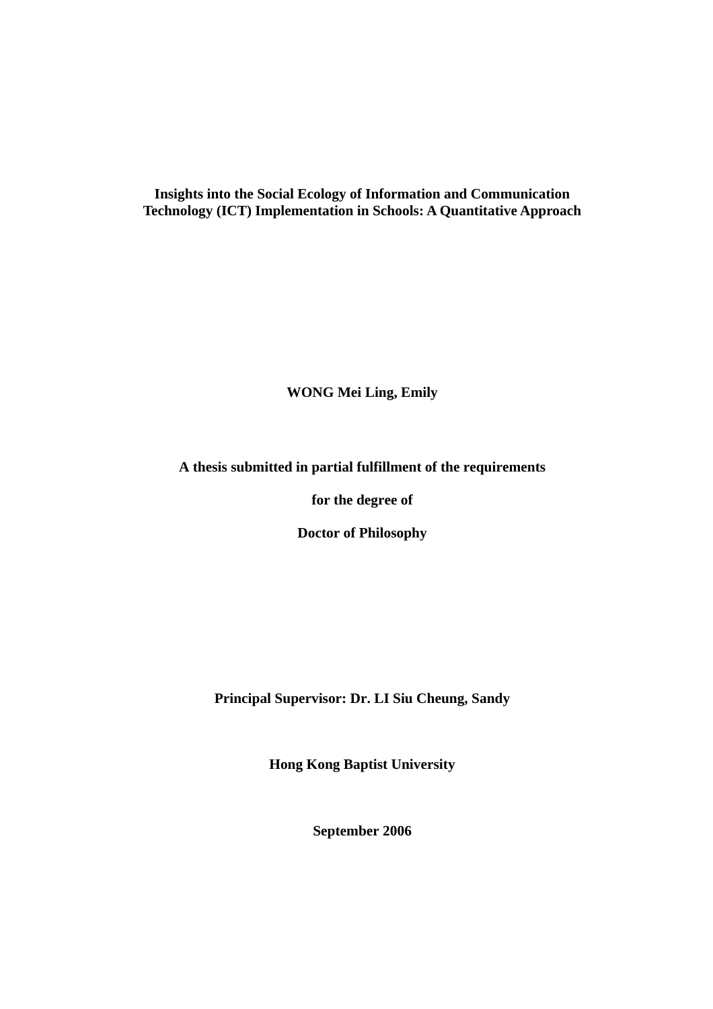**Insights into the Social Ecology of Information and Communication Technology (ICT) Implementation in Schools: A Quantitative Approach** 

**WONG Mei Ling, Emily** 

**A thesis submitted in partial fulfillment of the requirements** 

**for the degree of** 

**Doctor of Philosophy** 

**Principal Supervisor: Dr. LI Siu Cheung, Sandy** 

**Hong Kong Baptist University** 

**September 2006**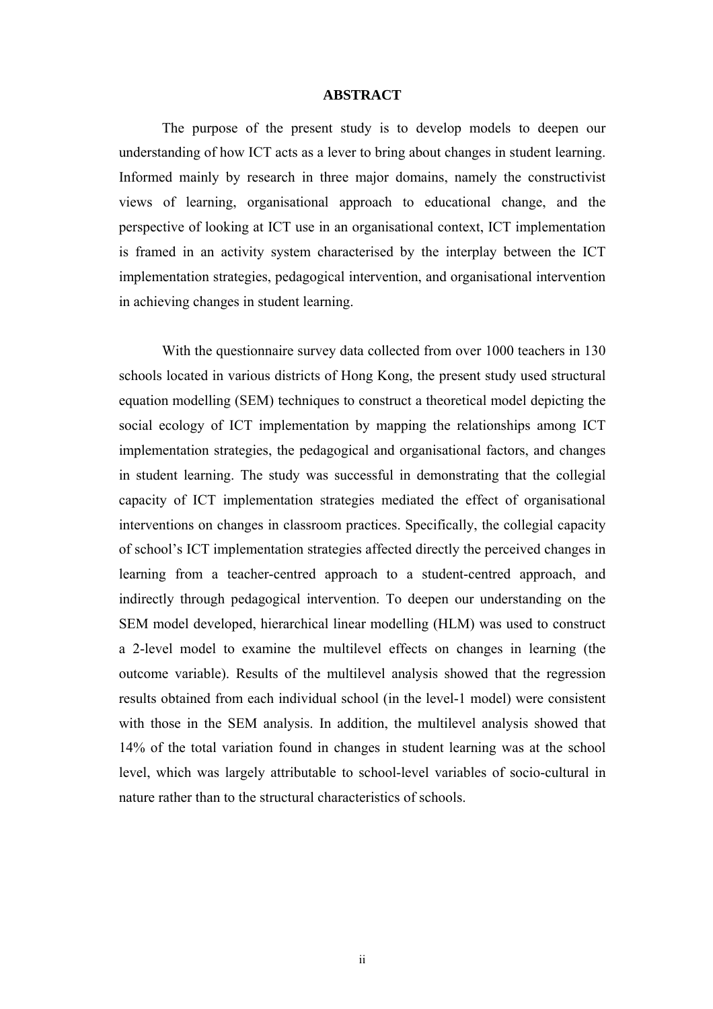### **ABSTRACT**

 The purpose of the present study is to develop models to deepen our understanding of how ICT acts as a lever to bring about changes in student learning. Informed mainly by research in three major domains, namely the constructivist views of learning, organisational approach to educational change, and the perspective of looking at ICT use in an organisational context, ICT implementation is framed in an activity system characterised by the interplay between the ICT implementation strategies, pedagogical intervention, and organisational intervention in achieving changes in student learning.

With the questionnaire survey data collected from over 1000 teachers in 130 schools located in various districts of Hong Kong, the present study used structural equation modelling (SEM) techniques to construct a theoretical model depicting the social ecology of ICT implementation by mapping the relationships among ICT implementation strategies, the pedagogical and organisational factors, and changes in student learning. The study was successful in demonstrating that the collegial capacity of ICT implementation strategies mediated the effect of organisational interventions on changes in classroom practices. Specifically, the collegial capacity of school's ICT implementation strategies affected directly the perceived changes in learning from a teacher-centred approach to a student-centred approach, and indirectly through pedagogical intervention. To deepen our understanding on the SEM model developed, hierarchical linear modelling (HLM) was used to construct a 2-level model to examine the multilevel effects on changes in learning (the outcome variable). Results of the multilevel analysis showed that the regression results obtained from each individual school (in the level-1 model) were consistent with those in the SEM analysis. In addition, the multilevel analysis showed that 14% of the total variation found in changes in student learning was at the school level, which was largely attributable to school-level variables of socio-cultural in nature rather than to the structural characteristics of schools.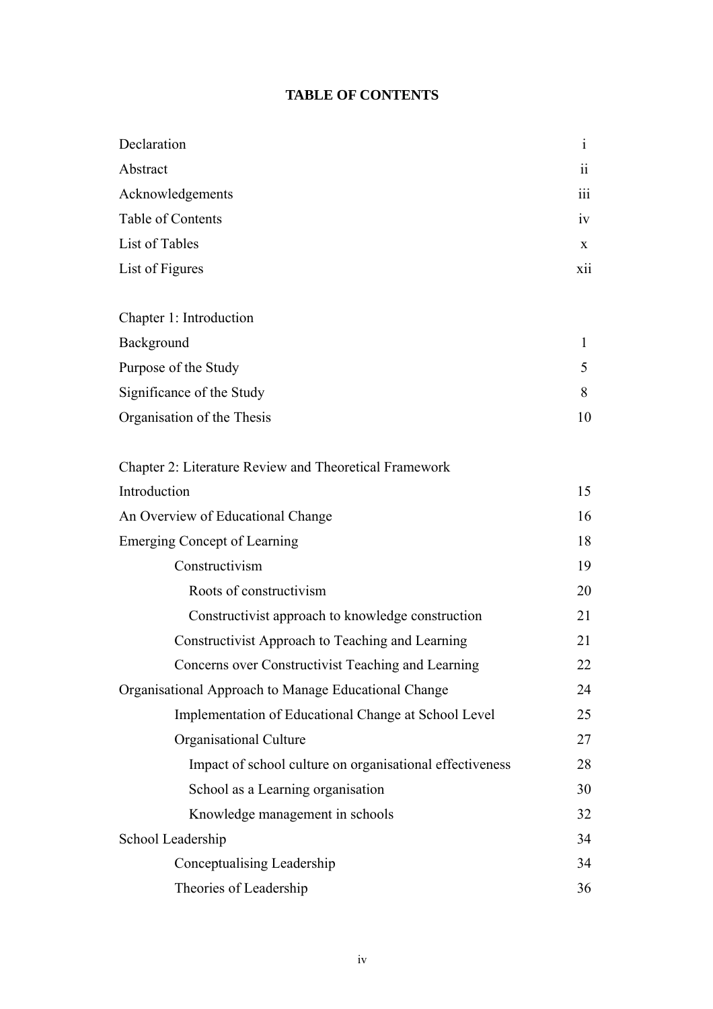## **TABLE OF CONTENTS**

| Declaration                                              | $\mathbf{i}$ |
|----------------------------------------------------------|--------------|
| Abstract                                                 | 11           |
| Acknowledgements                                         | 111          |
| Table of Contents                                        | iv           |
| List of Tables                                           | X            |
| List of Figures                                          | X11          |
|                                                          |              |
| Chapter 1: Introduction                                  |              |
| Background                                               | $\mathbf{1}$ |
| Purpose of the Study                                     | 5            |
| Significance of the Study                                | 8            |
| Organisation of the Thesis                               | 10           |
|                                                          |              |
| Chapter 2: Literature Review and Theoretical Framework   |              |
| Introduction                                             | 15           |
| An Overview of Educational Change                        | 16           |
| <b>Emerging Concept of Learning</b>                      | 18           |
| Constructivism                                           | 19           |
| Roots of constructivism                                  | 20           |
| Constructivist approach to knowledge construction        | 21           |
| Constructivist Approach to Teaching and Learning         | 21           |
| Concerns over Constructivist Teaching and Learning       | 22           |
| Organisational Approach to Manage Educational Change     | 24           |
| Implementation of Educational Change at School Level     | 25           |
| Organisational Culture                                   | 27           |
| Impact of school culture on organisational effectiveness | 28           |
| School as a Learning organisation                        | 30           |
| Knowledge management in schools                          | 32           |
| School Leadership                                        | 34           |
| Conceptualising Leadership                               | 34           |
| Theories of Leadership                                   | 36           |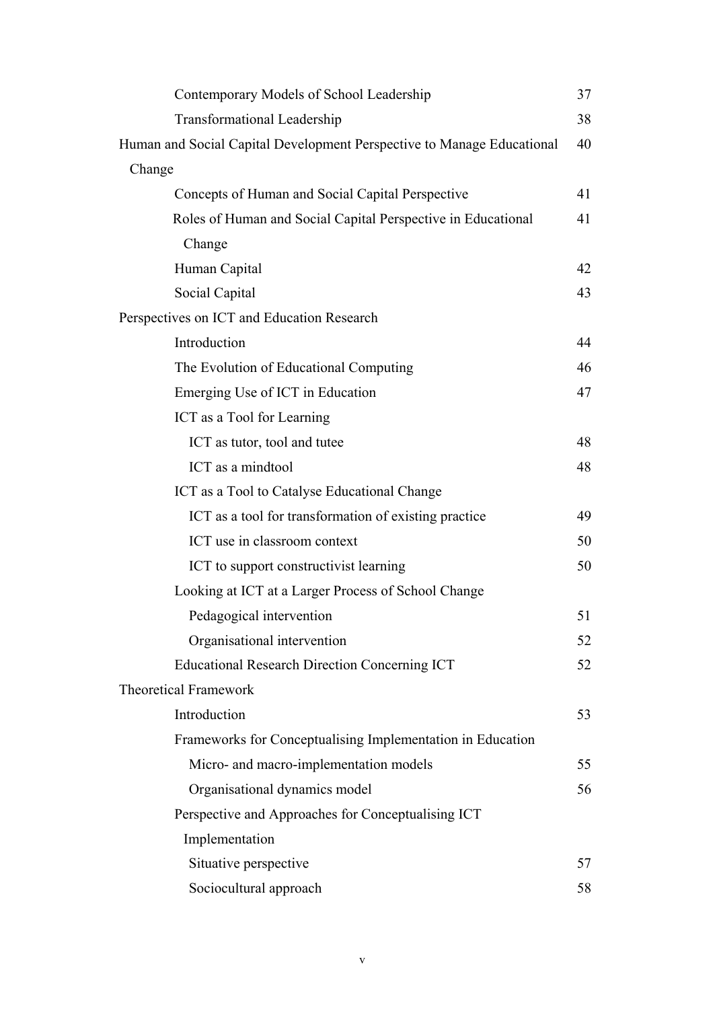| Contemporary Models of School Leadership                               | 37 |
|------------------------------------------------------------------------|----|
| <b>Transformational Leadership</b>                                     | 38 |
| Human and Social Capital Development Perspective to Manage Educational | 40 |
| Change                                                                 |    |
| Concepts of Human and Social Capital Perspective                       | 41 |
| Roles of Human and Social Capital Perspective in Educational           | 41 |
| Change                                                                 |    |
| Human Capital                                                          | 42 |
| Social Capital                                                         | 43 |
| Perspectives on ICT and Education Research                             |    |
| Introduction                                                           | 44 |
| The Evolution of Educational Computing                                 | 46 |
| Emerging Use of ICT in Education                                       | 47 |
| ICT as a Tool for Learning                                             |    |
| ICT as tutor, tool and tutee                                           | 48 |
| ICT as a mindtool                                                      | 48 |
| ICT as a Tool to Catalyse Educational Change                           |    |
| ICT as a tool for transformation of existing practice                  | 49 |
| ICT use in classroom context                                           | 50 |
| ICT to support constructivist learning                                 | 50 |
| Looking at ICT at a Larger Process of School Change                    |    |
| Pedagogical intervention                                               | 51 |
| Organisational intervention                                            | 52 |
| <b>Educational Research Direction Concerning ICT</b>                   | 52 |
| <b>Theoretical Framework</b>                                           |    |
| Introduction                                                           | 53 |
| Frameworks for Conceptualising Implementation in Education             |    |
| Micro- and macro-implementation models                                 | 55 |
| Organisational dynamics model                                          | 56 |
| Perspective and Approaches for Conceptualising ICT                     |    |
| Implementation                                                         |    |
| Situative perspective                                                  | 57 |
| Sociocultural approach                                                 | 58 |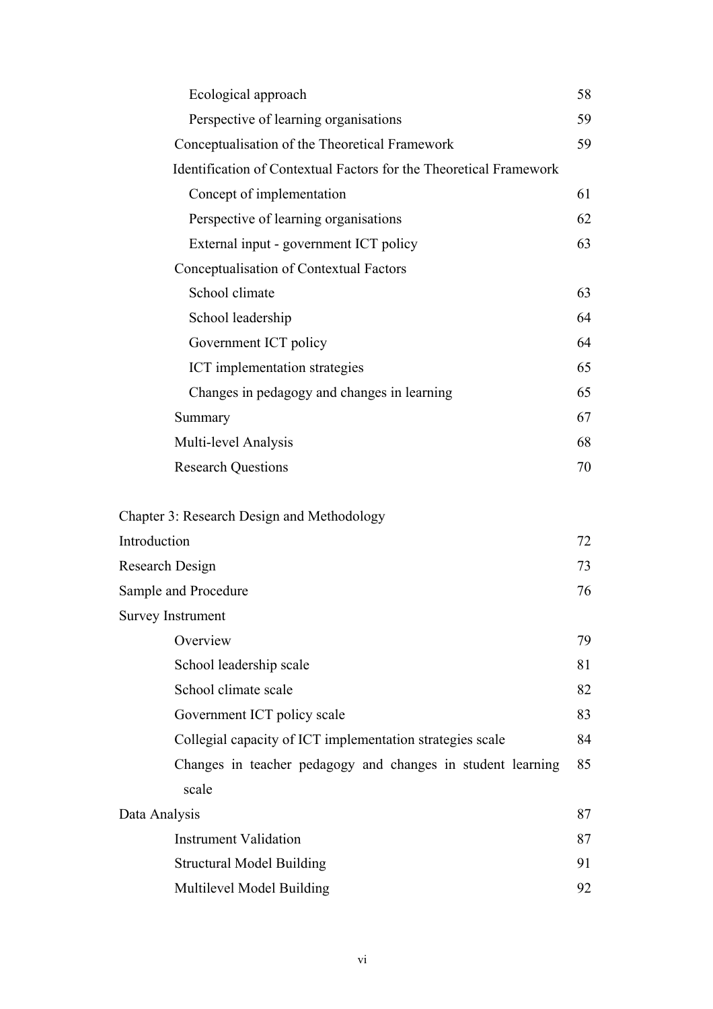| Ecological approach                                                  | 58 |
|----------------------------------------------------------------------|----|
| Perspective of learning organisations                                | 59 |
| Conceptualisation of the Theoretical Framework                       | 59 |
| Identification of Contextual Factors for the Theoretical Framework   |    |
| Concept of implementation                                            | 61 |
| Perspective of learning organisations                                | 62 |
| External input - government ICT policy                               | 63 |
| Conceptualisation of Contextual Factors                              |    |
| School climate                                                       | 63 |
| School leadership                                                    | 64 |
| Government ICT policy                                                | 64 |
| ICT implementation strategies                                        | 65 |
| Changes in pedagogy and changes in learning                          | 65 |
| Summary                                                              | 67 |
| Multi-level Analysis                                                 | 68 |
| <b>Research Questions</b>                                            | 70 |
|                                                                      |    |
| Chapter 3: Research Design and Methodology                           |    |
| Introduction                                                         | 72 |
| Research Design                                                      | 73 |
| Sample and Procedure                                                 | 76 |
| <b>Survey Instrument</b>                                             |    |
| Overview                                                             | 79 |
| School leadership scale                                              | 81 |
| School climate scale                                                 | 82 |
| Government ICT policy scale                                          | 83 |
| Collegial capacity of ICT implementation strategies scale            | 84 |
| Changes in teacher pedagogy and changes in student learning<br>scale | 85 |
| Data Analysis                                                        | 87 |
| <b>Instrument Validation</b>                                         | 87 |
| <b>Structural Model Building</b>                                     | 91 |
| Multilevel Model Building                                            | 92 |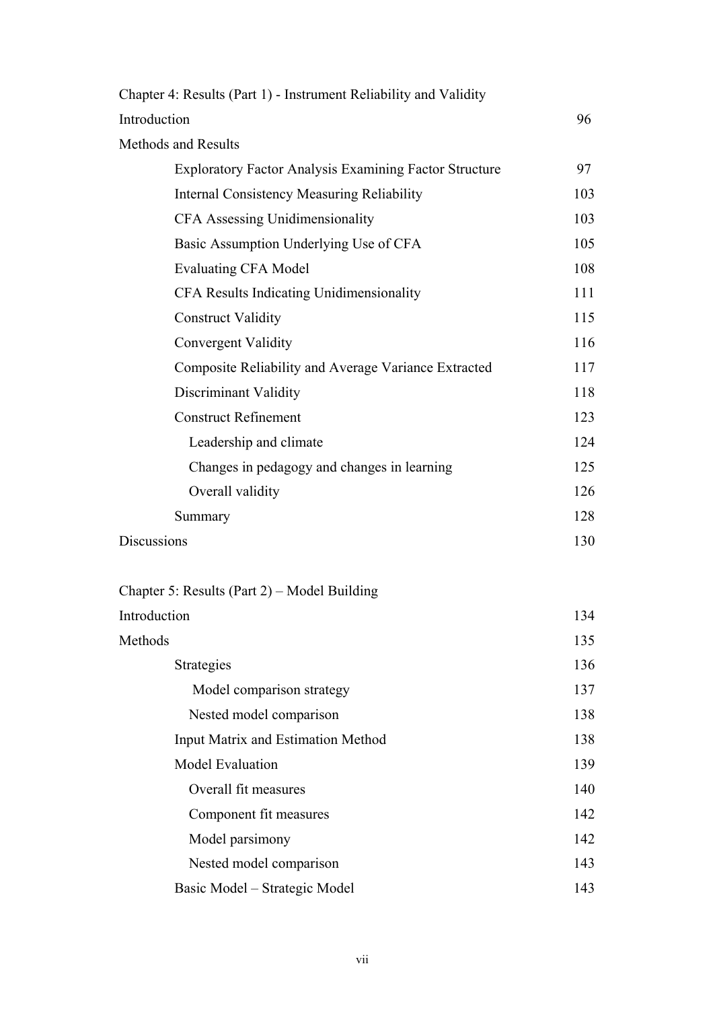| Chapter 4: Results (Part 1) - Instrument Reliability and Validity |     |
|-------------------------------------------------------------------|-----|
| Introduction                                                      | 96  |
| <b>Methods and Results</b>                                        |     |
| <b>Exploratory Factor Analysis Examining Factor Structure</b>     | 97  |
| <b>Internal Consistency Measuring Reliability</b>                 | 103 |
| CFA Assessing Unidimensionality                                   | 103 |
| Basic Assumption Underlying Use of CFA                            | 105 |
| <b>Evaluating CFA Model</b>                                       | 108 |
| CFA Results Indicating Unidimensionality                          | 111 |
| <b>Construct Validity</b>                                         | 115 |
| Convergent Validity                                               | 116 |
| Composite Reliability and Average Variance Extracted              | 117 |
| Discriminant Validity                                             | 118 |
| <b>Construct Refinement</b>                                       | 123 |
| Leadership and climate                                            | 124 |
| Changes in pedagogy and changes in learning                       | 125 |
| Overall validity                                                  | 126 |
| Summary                                                           | 128 |
| <b>Discussions</b>                                                | 130 |

| Chapter 5: Results (Part 2) – Model Building |     |
|----------------------------------------------|-----|
| Introduction                                 | 134 |
| Methods                                      | 135 |
| Strategies                                   | 136 |
| Model comparison strategy                    | 137 |
| Nested model comparison                      | 138 |
| <b>Input Matrix and Estimation Method</b>    | 138 |
| <b>Model Evaluation</b>                      | 139 |
| Overall fit measures                         | 140 |
| Component fit measures                       | 142 |
| Model parsimony                              | 142 |
| Nested model comparison                      | 143 |
| Basic Model – Strategic Model                | 143 |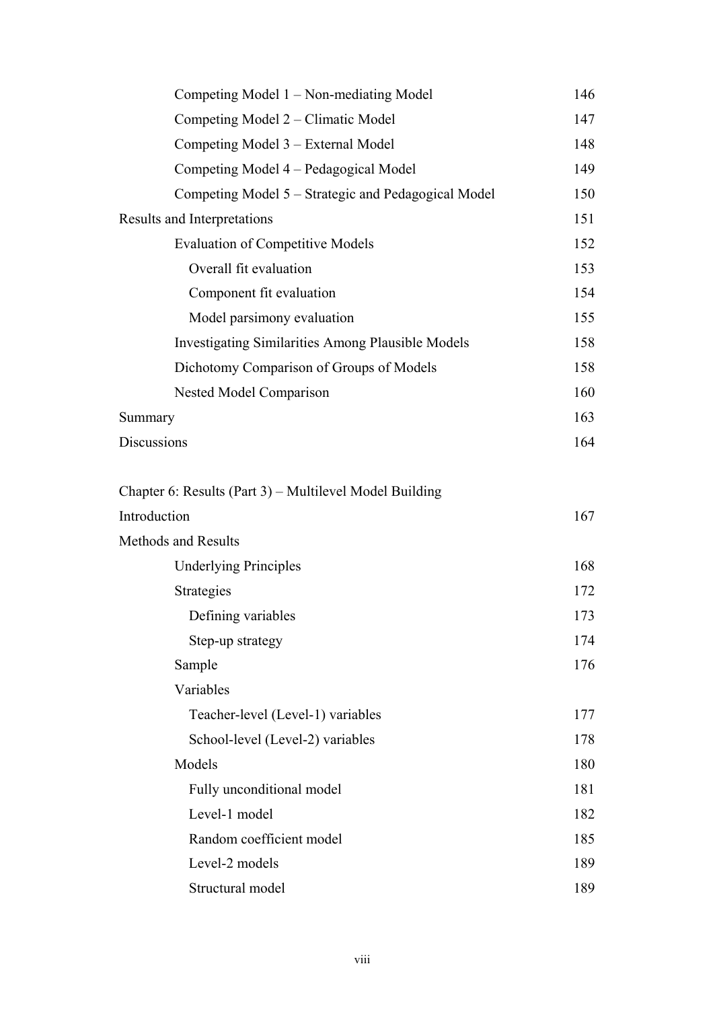| Competing Model 1 – Non-mediating Model                  | 146 |
|----------------------------------------------------------|-----|
| Competing Model 2 – Climatic Model                       | 147 |
| Competing Model 3 – External Model                       | 148 |
| Competing Model 4 – Pedagogical Model                    | 149 |
| Competing Model 5 – Strategic and Pedagogical Model      | 150 |
| Results and Interpretations                              | 151 |
| <b>Evaluation of Competitive Models</b>                  | 152 |
| Overall fit evaluation                                   | 153 |
| Component fit evaluation                                 | 154 |
| Model parsimony evaluation                               | 155 |
| <b>Investigating Similarities Among Plausible Models</b> | 158 |
| Dichotomy Comparison of Groups of Models                 | 158 |
| Nested Model Comparison                                  | 160 |
| Summary                                                  | 163 |
| Discussions                                              | 164 |
|                                                          |     |
| Chapter 6: Results (Part 3) – Multilevel Model Building  |     |
| Introduction                                             | 167 |
| <b>Methods and Results</b>                               |     |
| <b>Underlying Principles</b>                             | 168 |
| Strategies                                               | 172 |
| Defining variables                                       | 173 |
| Step-up strategy                                         | 174 |
| Sample                                                   | 176 |
| Variables                                                |     |
| Teacher-level (Level-1) variables                        | 177 |
| School-level (Level-2) variables                         | 178 |
| Models                                                   | 180 |
| Fully unconditional model                                | 181 |
| Level-1 model                                            | 182 |
| Random coefficient model                                 | 185 |
| Level-2 models                                           | 189 |
| Structural model                                         | 189 |